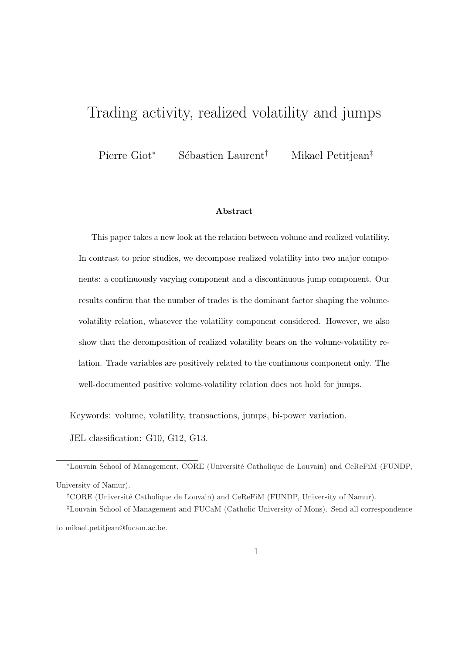# Trading activity, realized volatility and jumps

Pierre Giot<sup>∗</sup> Sébastien Laurent<sup>†</sup> Mikael Petitjean<sup>‡</sup>

#### Abstract

This paper takes a new look at the relation between volume and realized volatility. In contrast to prior studies, we decompose realized volatility into two major components: a continuously varying component and a discontinuous jump component. Our results confirm that the number of trades is the dominant factor shaping the volumevolatility relation, whatever the volatility component considered. However, we also show that the decomposition of realized volatility bears on the volume-volatility relation. Trade variables are positively related to the continuous component only. The well-documented positive volume-volatility relation does not hold for jumps.

Keywords: volume, volatility, transactions, jumps, bi-power variation.

JEL classification: G10, G12, G13.

<sup>∗</sup>Louvain School of Management, CORE (Universit´e Catholique de Louvain) and CeReFiM (FUNDP, University of Namur).

<sup>†</sup>CORE (Université Catholique de Louvain) and CeReFiM (FUNDP, University of Namur).

‡Louvain School of Management and FUCaM (Catholic University of Mons). Send all correspondence to mikael.petitjean@fucam.ac.be.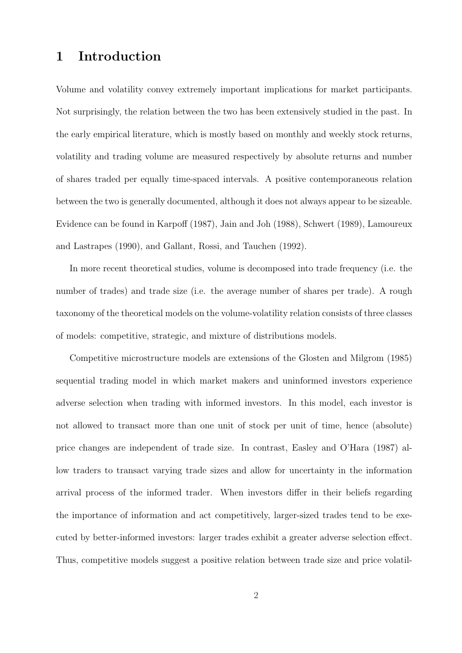### 1 Introduction

Volume and volatility convey extremely important implications for market participants. Not surprisingly, the relation between the two has been extensively studied in the past. In the early empirical literature, which is mostly based on monthly and weekly stock returns, volatility and trading volume are measured respectively by absolute returns and number of shares traded per equally time-spaced intervals. A positive contemporaneous relation between the two is generally documented, although it does not always appear to be sizeable. Evidence can be found in Karpoff (1987), Jain and Joh (1988), Schwert (1989), Lamoureux and Lastrapes (1990), and Gallant, Rossi, and Tauchen (1992).

In more recent theoretical studies, volume is decomposed into trade frequency (i.e. the number of trades) and trade size (i.e. the average number of shares per trade). A rough taxonomy of the theoretical models on the volume-volatility relation consists of three classes of models: competitive, strategic, and mixture of distributions models.

Competitive microstructure models are extensions of the Glosten and Milgrom (1985) sequential trading model in which market makers and uninformed investors experience adverse selection when trading with informed investors. In this model, each investor is not allowed to transact more than one unit of stock per unit of time, hence (absolute) price changes are independent of trade size. In contrast, Easley and O'Hara (1987) allow traders to transact varying trade sizes and allow for uncertainty in the information arrival process of the informed trader. When investors differ in their beliefs regarding the importance of information and act competitively, larger-sized trades tend to be executed by better-informed investors: larger trades exhibit a greater adverse selection effect. Thus, competitive models suggest a positive relation between trade size and price volatil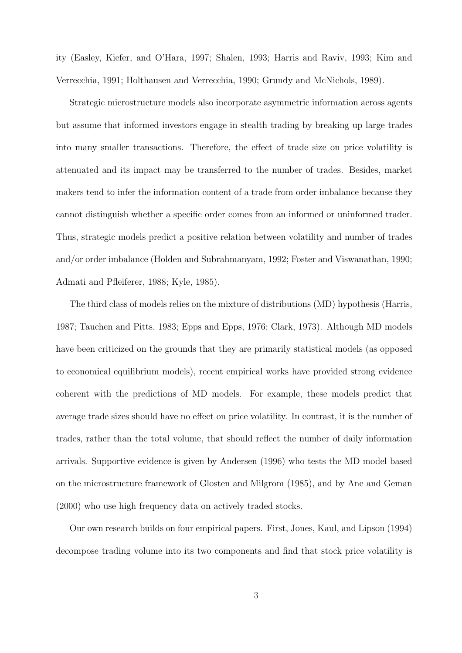ity (Easley, Kiefer, and O'Hara, 1997; Shalen, 1993; Harris and Raviv, 1993; Kim and Verrecchia, 1991; Holthausen and Verrecchia, 1990; Grundy and McNichols, 1989).

Strategic microstructure models also incorporate asymmetric information across agents but assume that informed investors engage in stealth trading by breaking up large trades into many smaller transactions. Therefore, the effect of trade size on price volatility is attenuated and its impact may be transferred to the number of trades. Besides, market makers tend to infer the information content of a trade from order imbalance because they cannot distinguish whether a specific order comes from an informed or uninformed trader. Thus, strategic models predict a positive relation between volatility and number of trades and/or order imbalance (Holden and Subrahmanyam, 1992; Foster and Viswanathan, 1990; Admati and Pfleiferer, 1988; Kyle, 1985).

The third class of models relies on the mixture of distributions (MD) hypothesis (Harris, 1987; Tauchen and Pitts, 1983; Epps and Epps, 1976; Clark, 1973). Although MD models have been criticized on the grounds that they are primarily statistical models (as opposed to economical equilibrium models), recent empirical works have provided strong evidence coherent with the predictions of MD models. For example, these models predict that average trade sizes should have no effect on price volatility. In contrast, it is the number of trades, rather than the total volume, that should reflect the number of daily information arrivals. Supportive evidence is given by Andersen (1996) who tests the MD model based on the microstructure framework of Glosten and Milgrom (1985), and by Ane and Geman (2000) who use high frequency data on actively traded stocks.

Our own research builds on four empirical papers. First, Jones, Kaul, and Lipson (1994) decompose trading volume into its two components and find that stock price volatility is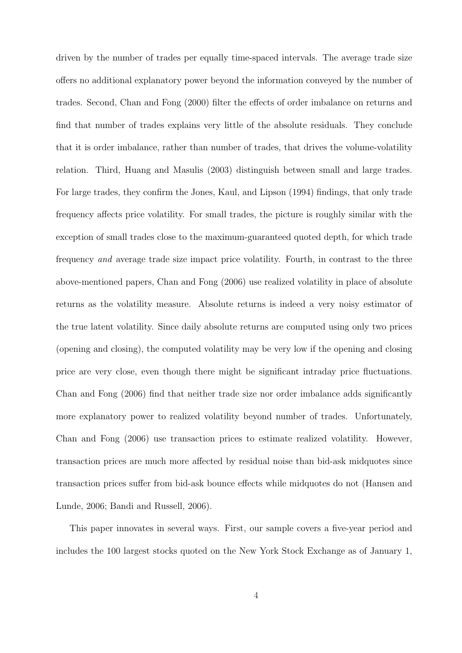driven by the number of trades per equally time-spaced intervals. The average trade size offers no additional explanatory power beyond the information conveyed by the number of trades. Second, Chan and Fong (2000) filter the effects of order imbalance on returns and find that number of trades explains very little of the absolute residuals. They conclude that it is order imbalance, rather than number of trades, that drives the volume-volatility relation. Third, Huang and Masulis (2003) distinguish between small and large trades. For large trades, they confirm the Jones, Kaul, and Lipson (1994) findings, that only trade frequency affects price volatility. For small trades, the picture is roughly similar with the exception of small trades close to the maximum-guaranteed quoted depth, for which trade frequency and average trade size impact price volatility. Fourth, in contrast to the three above-mentioned papers, Chan and Fong (2006) use realized volatility in place of absolute returns as the volatility measure. Absolute returns is indeed a very noisy estimator of the true latent volatility. Since daily absolute returns are computed using only two prices (opening and closing), the computed volatility may be very low if the opening and closing price are very close, even though there might be significant intraday price fluctuations. Chan and Fong (2006) find that neither trade size nor order imbalance adds significantly more explanatory power to realized volatility beyond number of trades. Unfortunately, Chan and Fong (2006) use transaction prices to estimate realized volatility. However, transaction prices are much more affected by residual noise than bid-ask midquotes since transaction prices suffer from bid-ask bounce effects while midquotes do not (Hansen and Lunde, 2006; Bandi and Russell, 2006).

This paper innovates in several ways. First, our sample covers a five-year period and includes the 100 largest stocks quoted on the New York Stock Exchange as of January 1,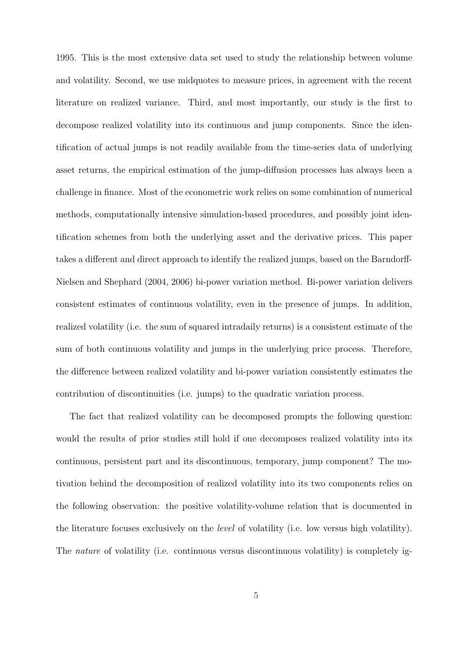1995. This is the most extensive data set used to study the relationship between volume and volatility. Second, we use midquotes to measure prices, in agreement with the recent literature on realized variance. Third, and most importantly, our study is the first to decompose realized volatility into its continuous and jump components. Since the identification of actual jumps is not readily available from the time-series data of underlying asset returns, the empirical estimation of the jump-diffusion processes has always been a challenge in finance. Most of the econometric work relies on some combination of numerical methods, computationally intensive simulation-based procedures, and possibly joint identification schemes from both the underlying asset and the derivative prices. This paper takes a different and direct approach to identify the realized jumps, based on the Barndorff-Nielsen and Shephard (2004, 2006) bi-power variation method. Bi-power variation delivers consistent estimates of continuous volatility, even in the presence of jumps. In addition, realized volatility (i.e. the sum of squared intradaily returns) is a consistent estimate of the sum of both continuous volatility and jumps in the underlying price process. Therefore, the difference between realized volatility and bi-power variation consistently estimates the contribution of discontinuities (i.e. jumps) to the quadratic variation process.

The fact that realized volatility can be decomposed prompts the following question: would the results of prior studies still hold if one decomposes realized volatility into its continuous, persistent part and its discontinuous, temporary, jump component? The motivation behind the decomposition of realized volatility into its two components relies on the following observation: the positive volatility-volume relation that is documented in the literature focuses exclusively on the level of volatility (i.e. low versus high volatility). The nature of volatility (i.e. continuous versus discontinuous volatility) is completely ig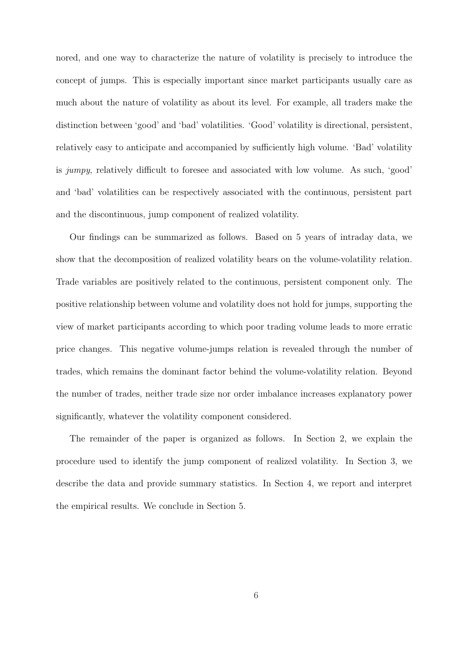nored, and one way to characterize the nature of volatility is precisely to introduce the concept of jumps. This is especially important since market participants usually care as much about the nature of volatility as about its level. For example, all traders make the distinction between 'good' and 'bad' volatilities. 'Good' volatility is directional, persistent, relatively easy to anticipate and accompanied by sufficiently high volume. 'Bad' volatility is jumpy, relatively difficult to foresee and associated with low volume. As such, 'good' and 'bad' volatilities can be respectively associated with the continuous, persistent part and the discontinuous, jump component of realized volatility.

Our findings can be summarized as follows. Based on 5 years of intraday data, we show that the decomposition of realized volatility bears on the volume-volatility relation. Trade variables are positively related to the continuous, persistent component only. The positive relationship between volume and volatility does not hold for jumps, supporting the view of market participants according to which poor trading volume leads to more erratic price changes. This negative volume-jumps relation is revealed through the number of trades, which remains the dominant factor behind the volume-volatility relation. Beyond the number of trades, neither trade size nor order imbalance increases explanatory power significantly, whatever the volatility component considered.

The remainder of the paper is organized as follows. In Section 2, we explain the procedure used to identify the jump component of realized volatility. In Section 3, we describe the data and provide summary statistics. In Section 4, we report and interpret the empirical results. We conclude in Section 5.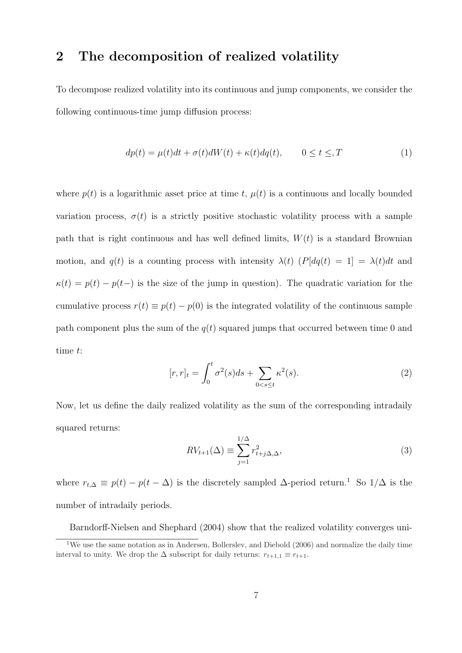#### 2 The decomposition of realized volatility

To decompose realized volatility into its continuous and jump components, we consider the following continuous-time jump diffusion process:

$$
dp(t) = \mu(t)dt + \sigma(t)dW(t) + \kappa(t)dq(t), \qquad 0 \le t \le T \tag{1}
$$

where  $p(t)$  is a logarithmic asset price at time t,  $\mu(t)$  is a continuous and locally bounded variation process,  $\sigma(t)$  is a strictly positive stochastic volatility process with a sample path that is right continuous and has well defined limits,  $W(t)$  is a standard Brownian motion, and  $q(t)$  is a counting process with intensity  $\lambda(t)$  ( $P[dq(t) = 1] = \lambda(t)dt$  and  $\kappa(t) = p(t) - p(t-)$  is the size of the jump in question). The quadratic variation for the cumulative process  $r(t) \equiv p(t) - p(0)$  is the integrated volatility of the continuous sample path component plus the sum of the  $q(t)$  squared jumps that occurred between time 0 and time t:

$$
[r,r]_t = \int_0^t \sigma^2(s)ds + \sum_{0 < s \le t} \kappa^2(s). \tag{2}
$$

Now, let us define the daily realized volatility as the sum of the corresponding intradaily squared returns:

$$
RV_{t+1}(\Delta) \equiv \sum_{j=1}^{1/\Delta} r_{t+j\Delta,\Delta}^2,
$$
\n(3)

where  $r_{t,\Delta} \equiv p(t) - p(t - \Delta)$  is the discretely sampled  $\Delta$ -period return.<sup>1</sup> So 1/ $\Delta$  is the number of intradaily periods.

Barndorff-Nielsen and Shephard (2004) show that the realized volatility converges uni-

<sup>&</sup>lt;sup>1</sup>We use the same notation as in Andersen, Bollerslev, and Diebold (2006) and normalize the daily time interval to unity. We drop the  $\Delta$  subscript for daily returns:  $r_{t+1,1} \equiv r_{t+1}$ .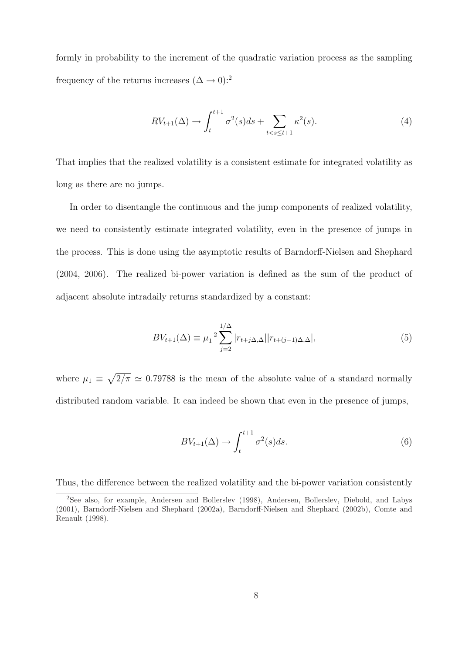formly in probability to the increment of the quadratic variation process as the sampling frequency of the returns increases  $(\Delta \rightarrow 0)$ :<sup>2</sup>

$$
RV_{t+1}(\Delta) \to \int_{t}^{t+1} \sigma^2(s)ds + \sum_{t < s \le t+1} \kappa^2(s). \tag{4}
$$

That implies that the realized volatility is a consistent estimate for integrated volatility as long as there are no jumps.

In order to disentangle the continuous and the jump components of realized volatility, we need to consistently estimate integrated volatility, even in the presence of jumps in the process. This is done using the asymptotic results of Barndorff-Nielsen and Shephard (2004, 2006). The realized bi-power variation is defined as the sum of the product of adjacent absolute intradaily returns standardized by a constant:

$$
BV_{t+1}(\Delta) \equiv \mu_1^{-2} \sum_{j=2}^{1/\Delta} |r_{t+j\Delta,\Delta}| |r_{t+(j-1)\Delta,\Delta}|,\tag{5}
$$

where  $\mu_1 \equiv$ p  $2/\pi \simeq 0.79788$  is the mean of the absolute value of a standard normally distributed random variable. It can indeed be shown that even in the presence of jumps,

$$
BV_{t+1}(\Delta) \to \int_{t}^{t+1} \sigma^2(s)ds.
$$
 (6)

Thus, the difference between the realized volatility and the bi-power variation consistently

<sup>2</sup>See also, for example, Andersen and Bollerslev (1998), Andersen, Bollerslev, Diebold, and Labys (2001), Barndorff-Nielsen and Shephard (2002a), Barndorff-Nielsen and Shephard (2002b), Comte and Renault (1998).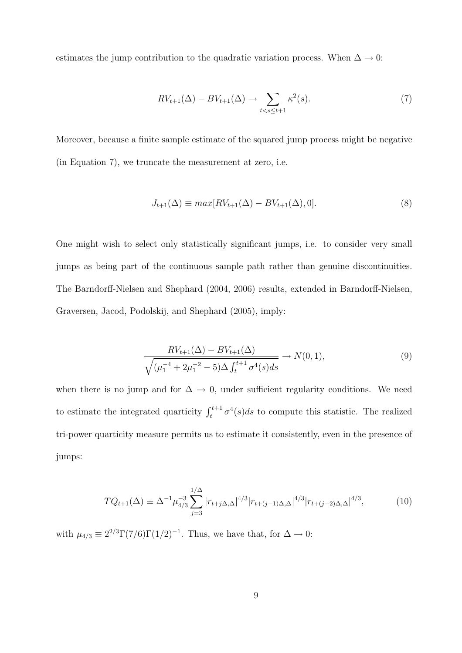estimates the jump contribution to the quadratic variation process. When  $\Delta \to 0$ :

$$
RV_{t+1}(\Delta) - BV_{t+1}(\Delta) \to \sum_{t < s \le t+1} \kappa^2(s). \tag{7}
$$

Moreover, because a finite sample estimate of the squared jump process might be negative (in Equation 7), we truncate the measurement at zero, i.e.

$$
J_{t+1}(\Delta) \equiv \max[RV_{t+1}(\Delta) - BV_{t+1}(\Delta), 0].\tag{8}
$$

One might wish to select only statistically significant jumps, i.e. to consider very small jumps as being part of the continuous sample path rather than genuine discontinuities. The Barndorff-Nielsen and Shephard (2004, 2006) results, extended in Barndorff-Nielsen, Graversen, Jacod, Podolskij, and Shephard (2005), imply:

$$
\frac{RV_{t+1}(\Delta) - BV_{t+1}(\Delta)}{\sqrt{(\mu_1^{-4} + 2\mu_1^{-2} - 5)\Delta \int_t^{t+1} \sigma^4(s)ds}} \to N(0, 1),\tag{9}
$$

when there is no jump and for  $\Delta \rightarrow 0$ , under sufficient regularity conditions. We need to estimate the integrated quarticity  $\int_{t}^{t+1} \sigma^{4}(s)ds$  to compute this statistic. The realized tri-power quarticity measure permits us to estimate it consistently, even in the presence of jumps:

$$
TQ_{t+1}(\Delta) \equiv \Delta^{-1} \mu_{4/3}^{-3} \sum_{j=3}^{1/\Delta} |r_{t+j\Delta,\Delta}|^{4/3} |r_{t+(j-1)\Delta,\Delta}|^{4/3} |r_{t+(j-2)\Delta,\Delta}|^{4/3},\tag{10}
$$

with  $\mu_{4/3} \equiv 2^{2/3} \Gamma(7/6) \Gamma(1/2)^{-1}$ . Thus, we have that, for  $\Delta \to 0$ :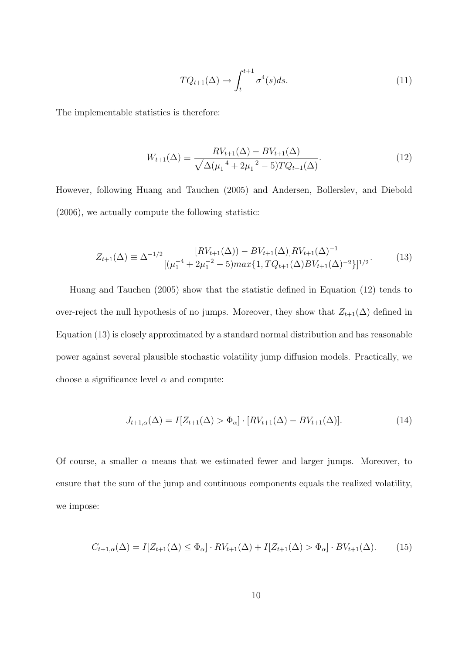$$
TQ_{t+1}(\Delta) \to \int_{t}^{t+1} \sigma^{4}(s)ds.
$$
 (11)

The implementable statistics is therefore:

$$
W_{t+1}(\Delta) \equiv \frac{RV_{t+1}(\Delta) - BV_{t+1}(\Delta)}{\sqrt{\Delta(\mu_1^{-4} + 2\mu_1^{-2} - 5)TQ_{t+1}(\Delta)}}.
$$
\n(12)

However, following Huang and Tauchen (2005) and Andersen, Bollerslev, and Diebold (2006), we actually compute the following statistic:

$$
Z_{t+1}(\Delta) \equiv \Delta^{-1/2} \frac{[RV_{t+1}(\Delta)) - BV_{t+1}(\Delta)]RV_{t+1}(\Delta)^{-1}}{[(\mu_1^{-4} + 2\mu_1^{-2} - 5)max\{1, TQ_{t+1}(\Delta)BV_{t+1}(\Delta)^{-2}\}]^{1/2}}.
$$
(13)

Huang and Tauchen (2005) show that the statistic defined in Equation (12) tends to over-reject the null hypothesis of no jumps. Moreover, they show that  $Z_{t+1}(\Delta)$  defined in Equation (13) is closely approximated by a standard normal distribution and has reasonable power against several plausible stochastic volatility jump diffusion models. Practically, we choose a significance level  $\alpha$  and compute:

$$
J_{t+1,\alpha}(\Delta) = I[Z_{t+1}(\Delta) > \Phi_{\alpha}] \cdot [RV_{t+1}(\Delta) - BV_{t+1}(\Delta)].
$$
\n(14)

Of course, a smaller  $\alpha$  means that we estimated fewer and larger jumps. Moreover, to ensure that the sum of the jump and continuous components equals the realized volatility, we impose:

$$
C_{t+1,\alpha}(\Delta) = I[Z_{t+1}(\Delta) \le \Phi_{\alpha}] \cdot RV_{t+1}(\Delta) + I[Z_{t+1}(\Delta) > \Phi_{\alpha}] \cdot BV_{t+1}(\Delta). \tag{15}
$$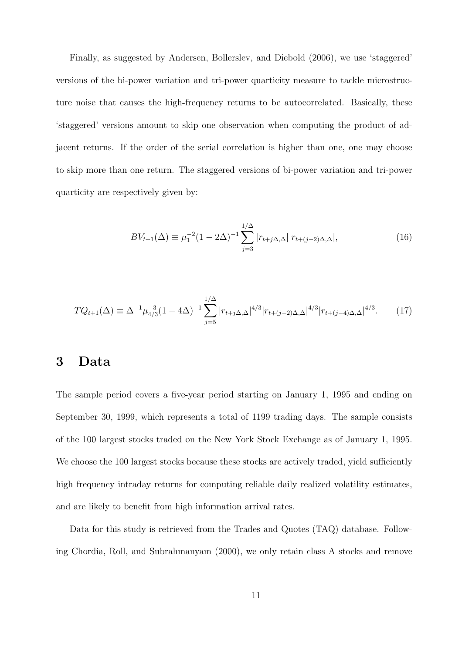Finally, as suggested by Andersen, Bollerslev, and Diebold (2006), we use 'staggered' versions of the bi-power variation and tri-power quarticity measure to tackle microstructure noise that causes the high-frequency returns to be autocorrelated. Basically, these 'staggered' versions amount to skip one observation when computing the product of adjacent returns. If the order of the serial correlation is higher than one, one may choose to skip more than one return. The staggered versions of bi-power variation and tri-power quarticity are respectively given by:

$$
BV_{t+1}(\Delta) \equiv \mu_1^{-2} (1 - 2\Delta)^{-1} \sum_{j=3}^{1/\Delta} |r_{t+j\Delta,\Delta}| |r_{t+(j-2)\Delta,\Delta}|,\tag{16}
$$

$$
TQ_{t+1}(\Delta) \equiv \Delta^{-1} \mu_{4/3}^{-3} (1 - 4\Delta)^{-1} \sum_{j=5}^{1/\Delta} |r_{t+j\Delta,\Delta}|^{4/3} |r_{t+(j-2)\Delta,\Delta}|^{4/3} |r_{t+(j-4)\Delta,\Delta}|^{4/3}.
$$
 (17)

#### 3 Data

The sample period covers a five-year period starting on January 1, 1995 and ending on September 30, 1999, which represents a total of 1199 trading days. The sample consists of the 100 largest stocks traded on the New York Stock Exchange as of January 1, 1995. We choose the 100 largest stocks because these stocks are actively traded, yield sufficiently high frequency intraday returns for computing reliable daily realized volatility estimates, and are likely to benefit from high information arrival rates.

Data for this study is retrieved from the Trades and Quotes (TAQ) database. Following Chordia, Roll, and Subrahmanyam (2000), we only retain class A stocks and remove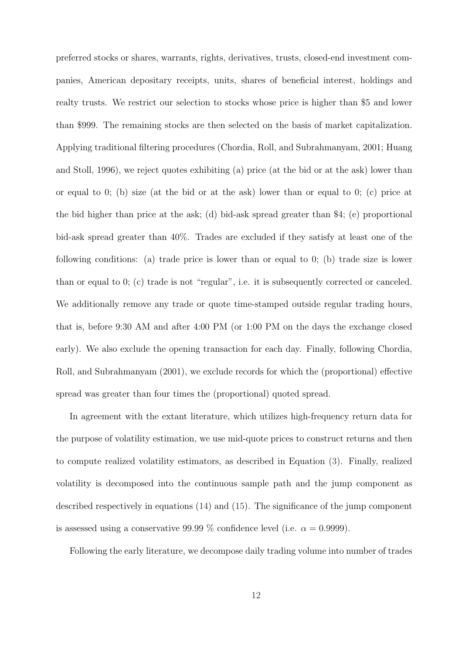preferred stocks or shares, warrants, rights, derivatives, trusts, closed-end investment companies, American depositary receipts, units, shares of beneficial interest, holdings and realty trusts. We restrict our selection to stocks whose price is higher than \$5 and lower than \$999. The remaining stocks are then selected on the basis of market capitalization. Applying traditional filtering procedures (Chordia, Roll, and Subrahmanyam, 2001; Huang and Stoll, 1996), we reject quotes exhibiting (a) price (at the bid or at the ask) lower than or equal to 0; (b) size (at the bid or at the ask) lower than or equal to 0; (c) price at the bid higher than price at the ask; (d) bid-ask spread greater than \$4; (e) proportional bid-ask spread greater than 40%. Trades are excluded if they satisfy at least one of the following conditions: (a) trade price is lower than or equal to 0; (b) trade size is lower than or equal to 0; (c) trade is not "regular", i.e. it is subsequently corrected or canceled. We additionally remove any trade or quote time-stamped outside regular trading hours, that is, before 9:30 AM and after 4:00 PM (or 1:00 PM on the days the exchange closed early). We also exclude the opening transaction for each day. Finally, following Chordia, Roll, and Subrahmanyam (2001), we exclude records for which the (proportional) effective spread was greater than four times the (proportional) quoted spread.

In agreement with the extant literature, which utilizes high-frequency return data for the purpose of volatility estimation, we use mid-quote prices to construct returns and then to compute realized volatility estimators, as described in Equation (3). Finally, realized volatility is decomposed into the continuous sample path and the jump component as described respectively in equations (14) and (15). The significance of the jump component is assessed using a conservative 99.99 % confidence level (i.e.  $\alpha = 0.9999$ ).

Following the early literature, we decompose daily trading volume into number of trades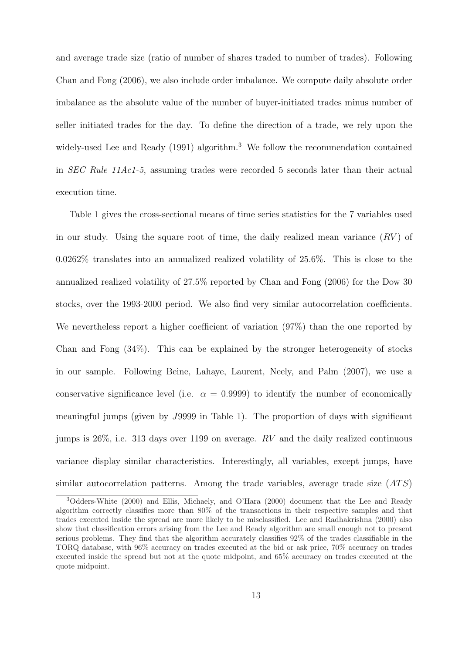and average trade size (ratio of number of shares traded to number of trades). Following Chan and Fong (2006), we also include order imbalance. We compute daily absolute order imbalance as the absolute value of the number of buyer-initiated trades minus number of seller initiated trades for the day. To define the direction of a trade, we rely upon the widely-used Lee and Ready (1991) algorithm.<sup>3</sup> We follow the recommendation contained in SEC Rule 11Ac1-5, assuming trades were recorded 5 seconds later than their actual execution time.

Table 1 gives the cross-sectional means of time series statistics for the 7 variables used in our study. Using the square root of time, the daily realized mean variance  $(RV)$  of 0.0262% translates into an annualized realized volatility of 25.6%. This is close to the annualized realized volatility of 27.5% reported by Chan and Fong (2006) for the Dow 30 stocks, over the 1993-2000 period. We also find very similar autocorrelation coefficients. We nevertheless report a higher coefficient of variation  $(97%)$  than the one reported by Chan and Fong (34%). This can be explained by the stronger heterogeneity of stocks in our sample. Following Beine, Lahaye, Laurent, Neely, and Palm (2007), we use a conservative significance level (i.e.  $\alpha = 0.9999$ ) to identify the number of economically meaningful jumps (given by J9999 in Table 1). The proportion of days with significant jumps is  $26\%$ , i.e. 313 days over 1199 on average. RV and the daily realized continuous variance display similar characteristics. Interestingly, all variables, except jumps, have similar autocorrelation patterns. Among the trade variables, average trade size  $(ATS)$ 

<sup>3</sup>Odders-White (2000) and Ellis, Michaely, and O'Hara (2000) document that the Lee and Ready algorithm correctly classifies more than 80% of the transactions in their respective samples and that trades executed inside the spread are more likely to be misclassified. Lee and Radhakrishna (2000) also show that classification errors arising from the Lee and Ready algorithm are small enough not to present serious problems. They find that the algorithm accurately classifies 92% of the trades classifiable in the TORQ database, with 96% accuracy on trades executed at the bid or ask price, 70% accuracy on trades executed inside the spread but not at the quote midpoint, and 65% accuracy on trades executed at the quote midpoint.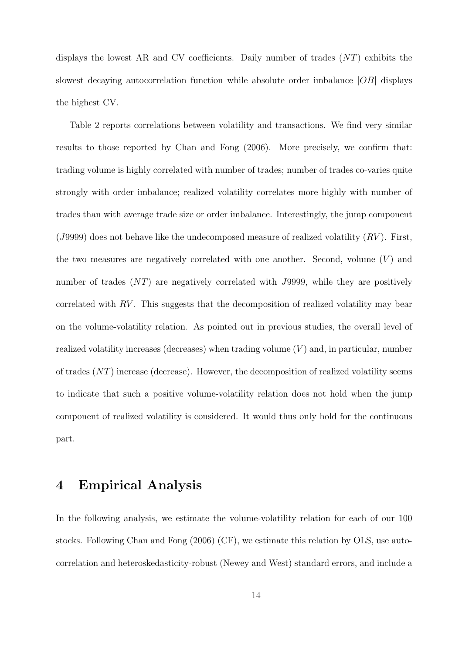displays the lowest AR and CV coefficients. Daily number of trades  $(NT)$  exhibits the slowest decaying autocorrelation function while absolute order imbalance |OB| displays the highest CV.

Table 2 reports correlations between volatility and transactions. We find very similar results to those reported by Chan and Fong (2006). More precisely, we confirm that: trading volume is highly correlated with number of trades; number of trades co-varies quite strongly with order imbalance; realized volatility correlates more highly with number of trades than with average trade size or order imbalance. Interestingly, the jump component (J9999) does not behave like the undecomposed measure of realized volatility  $(RV)$ . First, the two measures are negatively correlated with one another. Second, volume  $(V)$  and number of trades (NT) are negatively correlated with J9999, while they are positively correlated with  $RV$ . This suggests that the decomposition of realized volatility may bear on the volume-volatility relation. As pointed out in previous studies, the overall level of realized volatility increases (decreases) when trading volume  $(V)$  and, in particular, number of trades  $(NT)$  increase (decrease). However, the decomposition of realized volatility seems to indicate that such a positive volume-volatility relation does not hold when the jump component of realized volatility is considered. It would thus only hold for the continuous part.

#### 4 Empirical Analysis

In the following analysis, we estimate the volume-volatility relation for each of our 100 stocks. Following Chan and Fong (2006) (CF), we estimate this relation by OLS, use autocorrelation and heteroskedasticity-robust (Newey and West) standard errors, and include a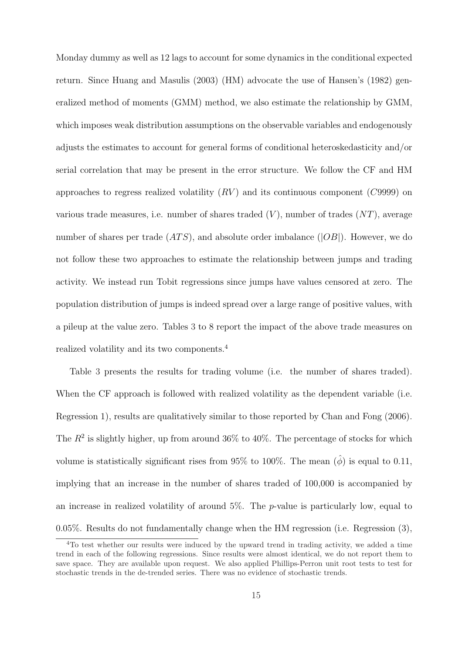Monday dummy as well as 12 lags to account for some dynamics in the conditional expected return. Since Huang and Masulis (2003) (HM) advocate the use of Hansen's (1982) generalized method of moments (GMM) method, we also estimate the relationship by GMM, which imposes weak distribution assumptions on the observable variables and endogenously adjusts the estimates to account for general forms of conditional heteroskedasticity and/or serial correlation that may be present in the error structure. We follow the CF and HM approaches to regress realized volatility  $(RV)$  and its continuous component  $(C9999)$  on various trade measures, i.e. number of shares traded  $(V)$ , number of trades  $(NT)$ , average number of shares per trade  $(ATS)$ , and absolute order imbalance  $(|OB|)$ . However, we do not follow these two approaches to estimate the relationship between jumps and trading activity. We instead run Tobit regressions since jumps have values censored at zero. The population distribution of jumps is indeed spread over a large range of positive values, with a pileup at the value zero. Tables 3 to 8 report the impact of the above trade measures on realized volatility and its two components.<sup>4</sup>

Table 3 presents the results for trading volume (i.e. the number of shares traded). When the CF approach is followed with realized volatility as the dependent variable (i.e. Regression 1), results are qualitatively similar to those reported by Chan and Fong (2006). The  $R^2$  is slightly higher, up from around 36% to 40%. The percentage of stocks for which volume is statistically significant rises from 95% to 100%. The mean  $(\hat{\phi})$  is equal to 0.11, implying that an increase in the number of shares traded of 100,000 is accompanied by an increase in realized volatility of around  $5\%$ . The p-value is particularly low, equal to 0.05%. Results do not fundamentally change when the HM regression (i.e. Regression (3),

<sup>&</sup>lt;sup>4</sup>To test whether our results were induced by the upward trend in trading activity, we added a time trend in each of the following regressions. Since results were almost identical, we do not report them to save space. They are available upon request. We also applied Phillips-Perron unit root tests to test for stochastic trends in the de-trended series. There was no evidence of stochastic trends.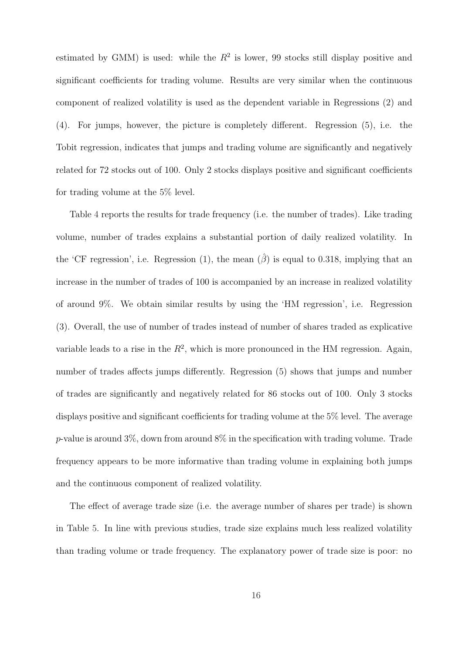estimated by GMM) is used: while the  $R^2$  is lower, 99 stocks still display positive and significant coefficients for trading volume. Results are very similar when the continuous component of realized volatility is used as the dependent variable in Regressions (2) and (4). For jumps, however, the picture is completely different. Regression (5), i.e. the Tobit regression, indicates that jumps and trading volume are significantly and negatively related for 72 stocks out of 100. Only 2 stocks displays positive and significant coefficients for trading volume at the 5% level.

Table 4 reports the results for trade frequency (i.e. the number of trades). Like trading volume, number of trades explains a substantial portion of daily realized volatility. In the 'CF regression', i.e. Regression (1), the mean  $(\hat{\beta})$  is equal to 0.318, implying that an increase in the number of trades of 100 is accompanied by an increase in realized volatility of around 9%. We obtain similar results by using the 'HM regression', i.e. Regression (3). Overall, the use of number of trades instead of number of shares traded as explicative variable leads to a rise in the  $R^2$ , which is more pronounced in the HM regression. Again, number of trades affects jumps differently. Regression (5) shows that jumps and number of trades are significantly and negatively related for 86 stocks out of 100. Only 3 stocks displays positive and significant coefficients for trading volume at the 5% level. The average p-value is around  $3\%$ , down from around  $8\%$  in the specification with trading volume. Trade frequency appears to be more informative than trading volume in explaining both jumps and the continuous component of realized volatility.

The effect of average trade size (i.e. the average number of shares per trade) is shown in Table 5. In line with previous studies, trade size explains much less realized volatility than trading volume or trade frequency. The explanatory power of trade size is poor: no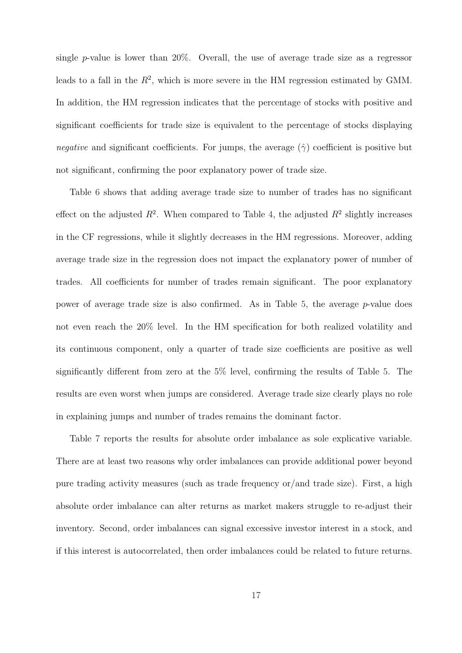single  $p$ -value is lower than 20%. Overall, the use of average trade size as a regressor leads to a fall in the  $R^2$ , which is more severe in the HM regression estimated by GMM. In addition, the HM regression indicates that the percentage of stocks with positive and significant coefficients for trade size is equivalent to the percentage of stocks displaying negative and significant coefficients. For jumps, the average  $(\hat{\gamma})$  coefficient is positive but not significant, confirming the poor explanatory power of trade size.

Table 6 shows that adding average trade size to number of trades has no significant effect on the adjusted  $R^2$ . When compared to Table 4, the adjusted  $R^2$  slightly increases in the CF regressions, while it slightly decreases in the HM regressions. Moreover, adding average trade size in the regression does not impact the explanatory power of number of trades. All coefficients for number of trades remain significant. The poor explanatory power of average trade size is also confirmed. As in Table 5, the average p-value does not even reach the 20% level. In the HM specification for both realized volatility and its continuous component, only a quarter of trade size coefficients are positive as well significantly different from zero at the 5% level, confirming the results of Table 5. The results are even worst when jumps are considered. Average trade size clearly plays no role in explaining jumps and number of trades remains the dominant factor.

Table 7 reports the results for absolute order imbalance as sole explicative variable. There are at least two reasons why order imbalances can provide additional power beyond pure trading activity measures (such as trade frequency or/and trade size). First, a high absolute order imbalance can alter returns as market makers struggle to re-adjust their inventory. Second, order imbalances can signal excessive investor interest in a stock, and if this interest is autocorrelated, then order imbalances could be related to future returns.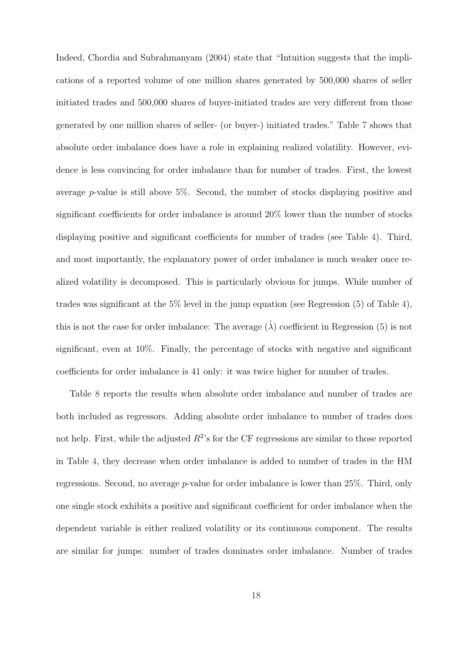Indeed, Chordia and Subrahmanyam (2004) state that "Intuition suggests that the implications of a reported volume of one million shares generated by 500,000 shares of seller initiated trades and 500,000 shares of buyer-initiated trades are very different from those generated by one million shares of seller- (or buyer-) initiated trades." Table 7 shows that absolute order imbalance does have a role in explaining realized volatility. However, evidence is less convincing for order imbalance than for number of trades. First, the lowest average p-value is still above 5%. Second, the number of stocks displaying positive and significant coefficients for order imbalance is around 20% lower than the number of stocks displaying positive and significant coefficients for number of trades (see Table 4). Third, and most importantly, the explanatory power of order imbalance is much weaker once realized volatility is decomposed. This is particularly obvious for jumps. While number of trades was significant at the 5% level in the jump equation (see Regression (5) of Table 4), this is not the case for order imbalance: The average  $(\lambda)$  coefficient in Regression (5) is not significant, even at 10%. Finally, the percentage of stocks with negative and significant coefficients for order imbalance is 41 only: it was twice higher for number of trades.

Table 8 reports the results when absolute order imbalance and number of trades are both included as regressors. Adding absolute order imbalance to number of trades does not help. First, while the adjusted  $R^2$ 's for the CF regressions are similar to those reported in Table 4, they decrease when order imbalance is added to number of trades in the HM regressions. Second, no average p-value for order imbalance is lower than 25%. Third, only one single stock exhibits a positive and significant coefficient for order imbalance when the dependent variable is either realized volatility or its continuous component. The results are similar for jumps: number of trades dominates order imbalance. Number of trades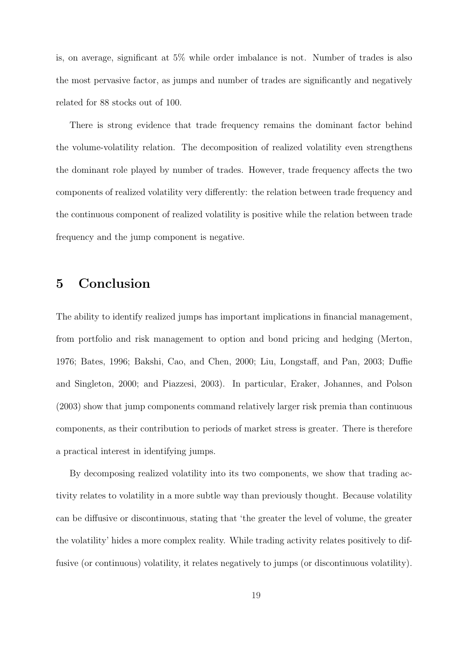is, on average, significant at 5% while order imbalance is not. Number of trades is also the most pervasive factor, as jumps and number of trades are significantly and negatively related for 88 stocks out of 100.

There is strong evidence that trade frequency remains the dominant factor behind the volume-volatility relation. The decomposition of realized volatility even strengthens the dominant role played by number of trades. However, trade frequency affects the two components of realized volatility very differently: the relation between trade frequency and the continuous component of realized volatility is positive while the relation between trade frequency and the jump component is negative.

### 5 Conclusion

The ability to identify realized jumps has important implications in financial management, from portfolio and risk management to option and bond pricing and hedging (Merton, 1976; Bates, 1996; Bakshi, Cao, and Chen, 2000; Liu, Longstaff, and Pan, 2003; Duffie and Singleton, 2000; and Piazzesi, 2003). In particular, Eraker, Johannes, and Polson (2003) show that jump components command relatively larger risk premia than continuous components, as their contribution to periods of market stress is greater. There is therefore a practical interest in identifying jumps.

By decomposing realized volatility into its two components, we show that trading activity relates to volatility in a more subtle way than previously thought. Because volatility can be diffusive or discontinuous, stating that 'the greater the level of volume, the greater the volatility' hides a more complex reality. While trading activity relates positively to diffusive (or continuous) volatility, it relates negatively to jumps (or discontinuous volatility).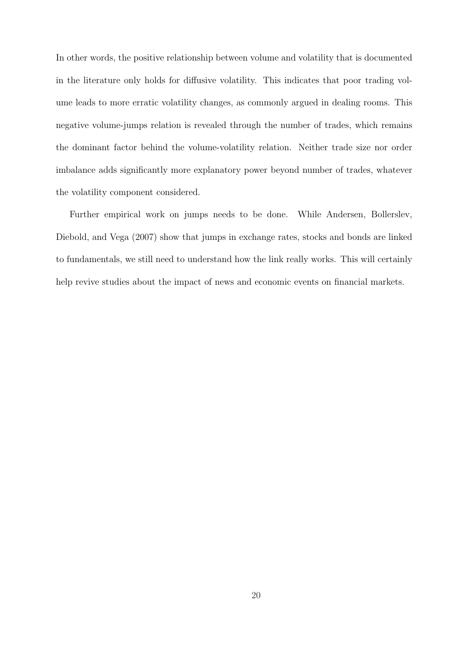In other words, the positive relationship between volume and volatility that is documented in the literature only holds for diffusive volatility. This indicates that poor trading volume leads to more erratic volatility changes, as commonly argued in dealing rooms. This negative volume-jumps relation is revealed through the number of trades, which remains the dominant factor behind the volume-volatility relation. Neither trade size nor order imbalance adds significantly more explanatory power beyond number of trades, whatever the volatility component considered.

Further empirical work on jumps needs to be done. While Andersen, Bollerslev, Diebold, and Vega (2007) show that jumps in exchange rates, stocks and bonds are linked to fundamentals, we still need to understand how the link really works. This will certainly help revive studies about the impact of news and economic events on financial markets.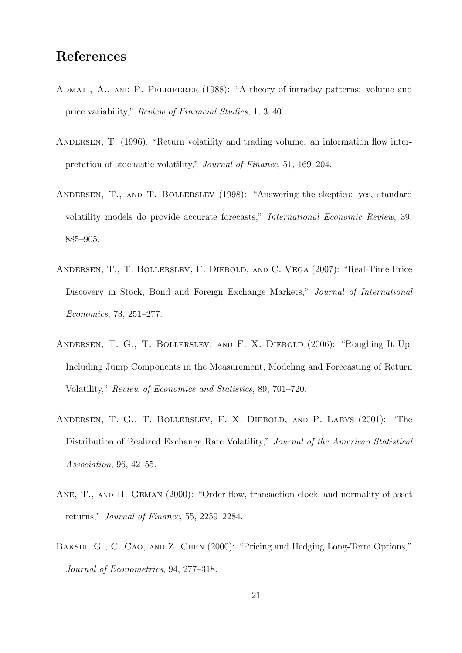## References

- ADMATI, A., AND P. PFLEIFERER (1988): "A theory of intraday patterns: volume and price variability," Review of Financial Studies, 1, 3–40.
- ANDERSEN, T. (1996): "Return volatility and trading volume: an information flow interpretation of stochastic volatility," Journal of Finance, 51, 169–204.
- Andersen, T., and T. Bollerslev (1998): "Answering the skeptics: yes, standard volatility models do provide accurate forecasts," International Economic Review, 39, 885–905.
- Andersen, T., T. Bollerslev, F. Diebold, and C. Vega (2007): "Real-Time Price Discovery in Stock, Bond and Foreign Exchange Markets," Journal of International Economics, 73, 251–277.
- Andersen, T. G., T. Bollerslev, and F. X. Diebold (2006): "Roughing It Up: Including Jump Components in the Measurement, Modeling and Forecasting of Return Volatility," Review of Economics and Statistics, 89, 701–720.
- Andersen, T. G., T. Bollerslev, F. X. Diebold, and P. Labys (2001): "The Distribution of Realized Exchange Rate Volatility," Journal of the American Statistical Association, 96, 42–55.
- ANE, T., AND H. GEMAN (2000): "Order flow, transaction clock, and normality of asset returns," Journal of Finance, 55, 2259–2284.
- BAKSHI, G., C. CAO, AND Z. CHEN (2000): "Pricing and Hedging Long-Term Options," Journal of Econometrics, 94, 277–318.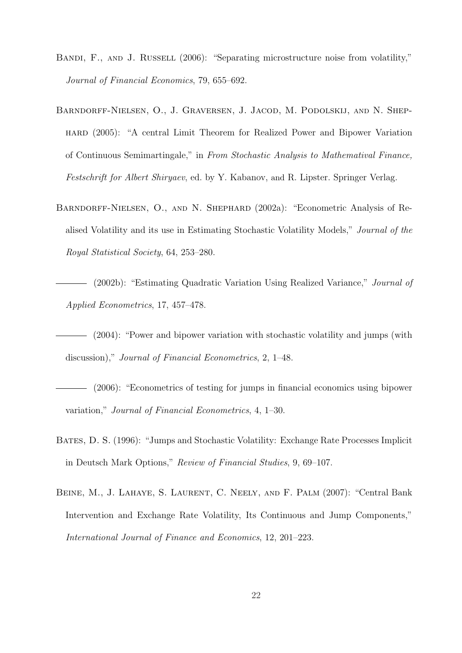- BANDI, F., AND J. RUSSELL (2006): "Separating microstructure noise from volatility," Journal of Financial Economics, 79, 655–692.
- Barndorff-Nielsen, O., J. Graversen, J. Jacod, M. Podolskij, and N. Shephard (2005): "A central Limit Theorem for Realized Power and Bipower Variation of Continuous Semimartingale," in From Stochastic Analysis to Mathematival Finance, Festschrift for Albert Shiryaev, ed. by Y. Kabanov, and R. Lipster. Springer Verlag.
- Barndorff-Nielsen, O., and N. Shephard (2002a): "Econometric Analysis of Realised Volatility and its use in Estimating Stochastic Volatility Models," Journal of the Royal Statistical Society, 64, 253–280.

(2002b): "Estimating Quadratic Variation Using Realized Variance," Journal of Applied Econometrics, 17, 457–478.

- (2004): "Power and bipower variation with stochastic volatility and jumps (with discussion)," Journal of Financial Econometrics, 2, 1–48.
- (2006): "Econometrics of testing for jumps in financial economics using bipower variation," Journal of Financial Econometrics, 4, 1–30.
- BATES, D. S. (1996): "Jumps and Stochastic Volatility: Exchange Rate Processes Implicit in Deutsch Mark Options," Review of Financial Studies, 9, 69–107.
- Beine, M., J. Lahaye, S. Laurent, C. Neely, and F. Palm (2007): "Central Bank Intervention and Exchange Rate Volatility, Its Continuous and Jump Components," International Journal of Finance and Economics, 12, 201–223.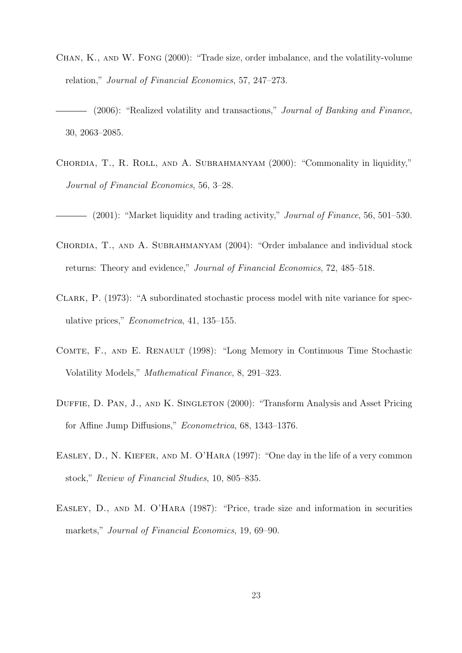- Chan, K., and W. Fong (2000): "Trade size, order imbalance, and the volatility-volume relation," Journal of Financial Economics, 57, 247–273.
- (2006): "Realized volatility and transactions," Journal of Banking and Finance, 30, 2063–2085.
- Chordia, T., R. Roll, and A. Subrahmanyam (2000): "Commonality in liquidity," Journal of Financial Economics, 56, 3–28.
- (2001): "Market liquidity and trading activity," *Journal of Finance*, 56, 501–530.
- Chordia, T., and A. Subrahmanyam (2004): "Order imbalance and individual stock returns: Theory and evidence," Journal of Financial Economics, 72, 485–518.
- Clark, P. (1973): "A subordinated stochastic process model with nite variance for speculative prices," Econometrica, 41, 135–155.
- COMTE, F., AND E. RENAULT (1998): "Long Memory in Continuous Time Stochastic Volatility Models," Mathematical Finance, 8, 291–323.
- DUFFIE, D. PAN, J., AND K. SINGLETON (2000): "Transform Analysis and Asset Pricing for Affine Jump Diffusions," Econometrica, 68, 1343–1376.
- EASLEY, D., N. KIEFER, AND M. O'HARA (1997): "One day in the life of a very common stock," Review of Financial Studies, 10, 805–835.
- EASLEY, D., AND M. O'HARA (1987): "Price, trade size and information in securities markets," Journal of Financial Economics, 19, 69–90.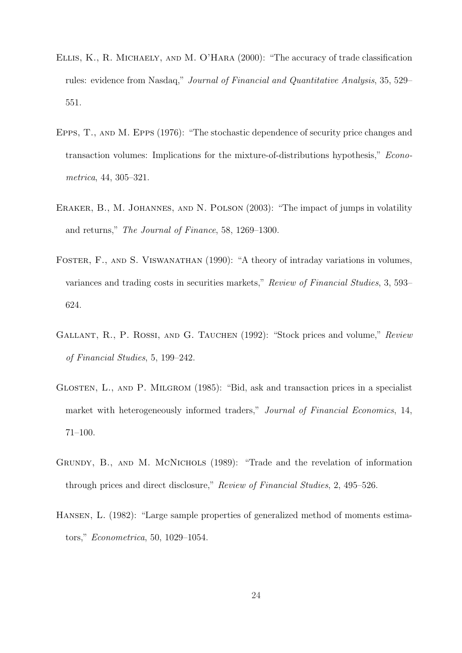- Ellis, K., R. Michaely, and M. O'Hara (2000): "The accuracy of trade classification rules: evidence from Nasdaq," Journal of Financial and Quantitative Analysis, 35, 529– 551.
- Epps, T., and M. Epps (1976): "The stochastic dependence of security price changes and transaction volumes: Implications for the mixture-of-distributions hypothesis," Econometrica, 44, 305–321.
- ERAKER, B., M. JOHANNES, AND N. POLSON (2003): "The impact of jumps in volatility and returns," The Journal of Finance, 58, 1269–1300.
- FOSTER, F., AND S. VISWANATHAN (1990): "A theory of intraday variations in volumes, variances and trading costs in securities markets," Review of Financial Studies, 3, 593– 624.
- GALLANT, R., P. ROSSI, AND G. TAUCHEN (1992): "Stock prices and volume," Review of Financial Studies, 5, 199–242.
- Glosten, L., and P. Milgrom (1985): "Bid, ask and transaction prices in a specialist market with heterogeneously informed traders," Journal of Financial Economics, 14, 71–100.
- Grundy, B., and M. McNichols (1989): "Trade and the revelation of information through prices and direct disclosure," Review of Financial Studies, 2, 495–526.
- Hansen, L. (1982): "Large sample properties of generalized method of moments estimators," Econometrica, 50, 1029–1054.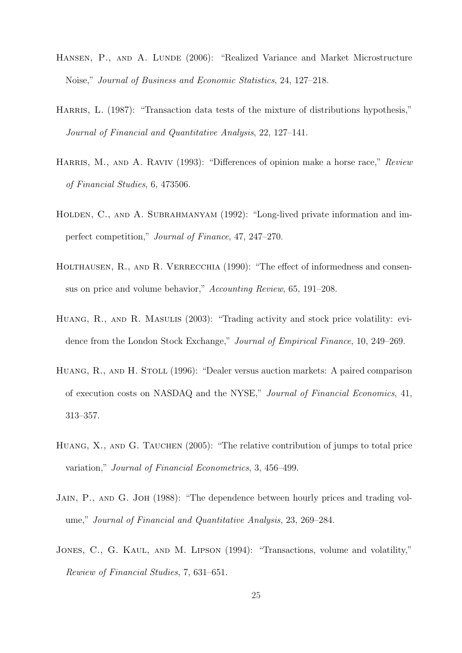- HANSEN, P., AND A. LUNDE (2006): "Realized Variance and Market Microstructure Noise," Journal of Business and Economic Statistics, 24, 127–218.
- HARRIS, L. (1987): "Transaction data tests of the mixture of distributions hypothesis," Journal of Financial and Quantitative Analysis, 22, 127–141.
- HARRIS, M., AND A. RAVIV (1993): "Differences of opinion make a horse race," Review of Financial Studies, 6, 473506.
- HOLDEN, C., AND A. SUBRAHMANYAM (1992): "Long-lived private information and imperfect competition," Journal of Finance, 47, 247–270.
- HOLTHAUSEN, R., AND R. VERRECCHIA (1990): "The effect of informedness and consensus on price and volume behavior," Accounting Review, 65, 191–208.
- HUANG, R., AND R. MASULIS (2003): "Trading activity and stock price volatility: evidence from the London Stock Exchange," Journal of Empirical Finance, 10, 249–269.
- HUANG, R., AND H. STOLL (1996): "Dealer versus auction markets: A paired comparison of execution costs on NASDAQ and the NYSE," Journal of Financial Economics, 41, 313–357.
- HUANG, X., AND G. TAUCHEN (2005): "The relative contribution of jumps to total price variation," Journal of Financial Econometrics, 3, 456–499.
- Jain, P., and G. Joh (1988): "The dependence between hourly prices and trading volume," Journal of Financial and Quantitative Analysis, 23, 269–284.
- JONES, C., G. KAUL, AND M. LIPSON (1994): "Transactions, volume and volatility," Rewiew of Financial Studies, 7, 631–651.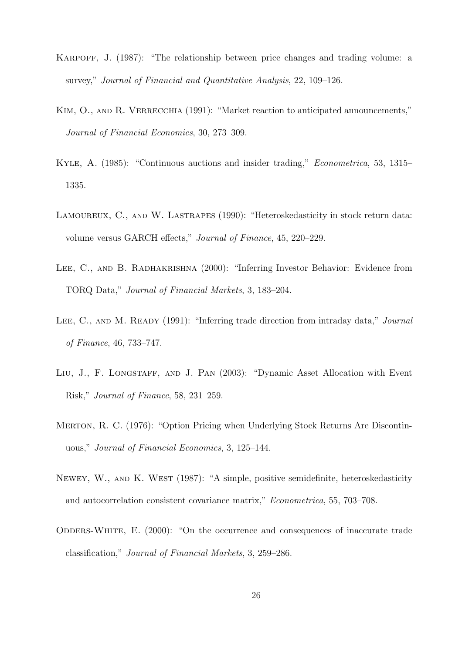- KARPOFF, J. (1987): "The relationship between price changes and trading volume: a survey," Journal of Financial and Quantitative Analysis, 22, 109–126.
- KIM, O., AND R. VERRECCHIA (1991): "Market reaction to anticipated announcements," Journal of Financial Economics, 30, 273–309.
- Kyle, A. (1985): "Continuous auctions and insider trading," Econometrica, 53, 1315– 1335.
- LAMOUREUX, C., AND W. LASTRAPES (1990): "Heteroskedasticity in stock return data: volume versus GARCH effects," Journal of Finance, 45, 220–229.
- LEE, C., AND B. RADHAKRISHNA (2000): "Inferring Investor Behavior: Evidence from TORQ Data," Journal of Financial Markets, 3, 183–204.
- LEE, C., AND M. READY (1991): "Inferring trade direction from intraday data," *Journal* of Finance, 46, 733–747.
- LIU, J., F. LONGSTAFF, AND J. PAN (2003): "Dynamic Asset Allocation with Event Risk," Journal of Finance, 58, 231–259.
- MERTON, R. C. (1976): "Option Pricing when Underlying Stock Returns Are Discontinuous," Journal of Financial Economics, 3, 125–144.
- NEWEY, W., AND K. WEST (1987): "A simple, positive semidefinite, heteroskedasticity and autocorrelation consistent covariance matrix," Econometrica, 55, 703–708.
- ODDERS-WHITE, E.  $(2000)$ : "On the occurrence and consequences of inaccurate trade classification," Journal of Financial Markets, 3, 259–286.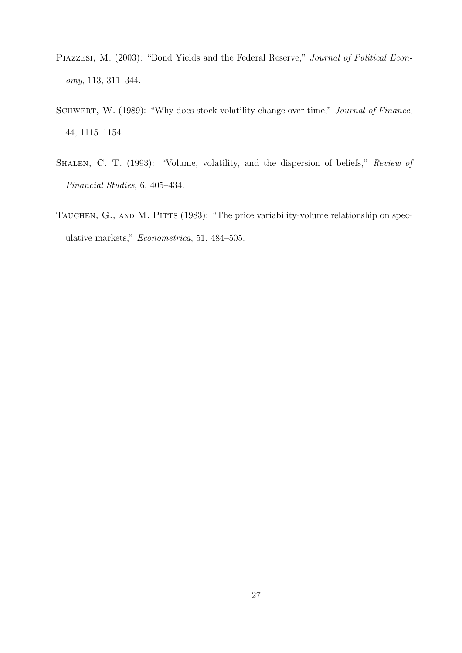- PIAZZESI, M. (2003): "Bond Yields and the Federal Reserve," Journal of Political Economy, 113, 311–344.
- SCHWERT, W. (1989): "Why does stock volatility change over time," Journal of Finance, 44, 1115–1154.
- SHALEN, C. T. (1993): "Volume, volatility, and the dispersion of beliefs," Review of Financial Studies, 6, 405–434.
- TAUCHEN, G., AND M. PITTS (1983): "The price variability-volume relationship on speculative markets," Econometrica, 51, 484–505.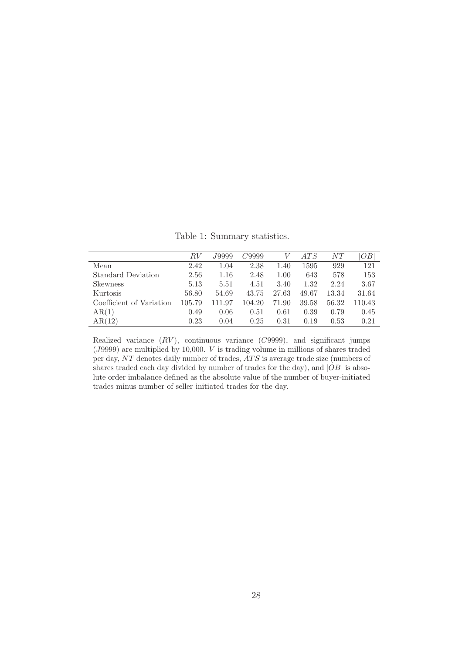Table 1: Summary statistics.

|                          | RV     | <i>J</i> 9999. | C9999  |          | ATS   | NT    | OВ     |
|--------------------------|--------|----------------|--------|----------|-------|-------|--------|
| Mean                     | 2.42   | 1.04           | 2.38   | 1.40     | 1595  | 929   | 121    |
| Standard Deviation       | 2.56   | 1.16           | 2.48   | 1.00     | 643   | 578   | 153    |
| <b>Skewness</b>          | 5.13   | 5.51           | 4.51   | 3.40     | 1.32  | 2.24  | 3.67   |
| Kurtosis                 | 56.80  | 54.69          | 43.75  | 27.63    | 49.67 | 13.34 | 31.64  |
| Coefficient of Variation | 105.79 | 111.97         | 104.20 | 71.90    | 39.58 | 56.32 | 110.43 |
| AR(1)                    | 0.49   | 0.06           | 0.51   | $0.61\,$ | 0.39  | 0.79  | 0.45   |
| AR(12)                   | 0.23   | 0.04           | 0.25   | 0.31     | 0.19  | 0.53  | 0.21   |

Realized variance  $(RV)$ , continuous variance  $(C9999)$ , and significant jumps (J9999) are multiplied by 10,000. V is trading volume in millions of shares traded per day, NT denotes daily number of trades, AT S is average trade size (numbers of shares traded each day divided by number of trades for the day), and  $|OB|$  is absolute order imbalance defined as the absolute value of the number of buyer-initiated trades minus number of seller initiated trades for the day.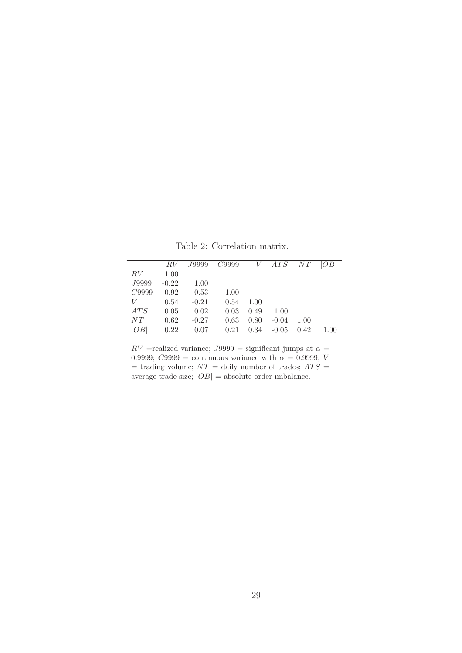RV J9999 C9999 V ATS NT  $|OB|$  $RV$  1.00  $\begin{array}{cccc} J9999 & -0.22 & 1.00 \\ C9999 & 0.92 & -0.53 \end{array}$  $\begin{array}{cccc} C9999 & 0.92 & -0.53 & 1.00 \\ V & 0.54 & -0.21 & 0.54 \end{array}$  $0.54$   $-0.21$   $0.54$   $1.00$  $ATS$  0.05 0.02 0.03 0.49 1.00 NT 0.62 -0.27 0.63 0.80 -0.04 1.00 |OB| 0.22 0.07 0.21 0.34 -0.05 0.42 1.00

Table 2: Correlation matrix.

 $RV$  =realized variance;  $J9999$  = significant jumps at  $\alpha$  = 0.9999; C9999 = continuous variance with  $\alpha = 0.9999$ ; V  $=$  trading volume;  $NT =$  daily number of trades;  $ATS =$ average trade size;  $|OB|$  = absolute order imbalance.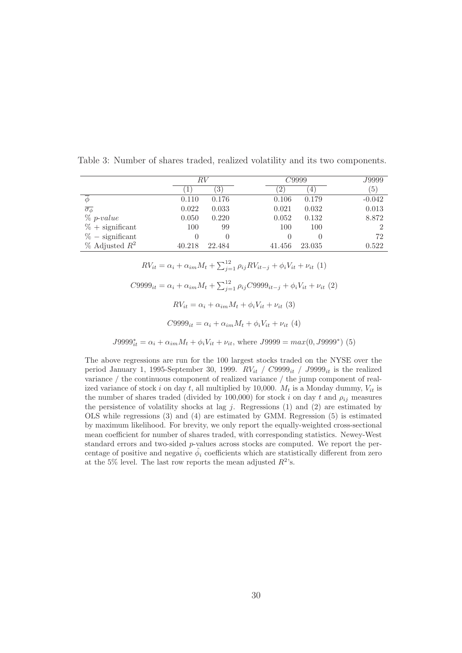|                            | RV     |        | C9999  |        | J9999            |
|----------------------------|--------|--------|--------|--------|------------------|
|                            |        | 3      |        | 4      | $\left(5\right)$ |
| Ф                          | 0.110  | 0.176  | 0.106  | 0.179  | $-0.042$         |
| $\overline{\sigma_{\phi}}$ | 0.022  | 0.033  | 0.021  | 0.032  | 0.013            |
| $\%$ p-value               | 0.050  | 0.220  | 0.052  | 0.132  | 8.872            |
| $% +$ significant          | 100    | 99     | 100    | 100    | റ                |
| $% -$ significant          |        |        |        |        | 72               |
| $%$ Adjusted $R^2$         | 40.218 | 22.484 | 41.456 | 23.035 | 0.522            |

Table 3: Number of shares traded, realized volatility and its two components.

 $RV_{it} = \alpha_i + \alpha_{im} M_t + \sum_{j=1}^{12} \rho_{ij} RV_{it-j} + \phi_i V_{it} + \nu_{it} (1)$  $C9999_{it} = \alpha_i + \alpha_{im} M_t + \sum_{j=1}^{12} \rho_{ij} C9999_{it-j} + \phi_i V_{it} + \nu_{it} (2)$  $RV_{it} = \alpha_i + \alpha_{im} M_t + \phi_i V_{it} + \nu_{it} (3)$  $C9999_{it} = \alpha_i + \alpha_{im} M_t + \phi_i V_{it} + \nu_{it} (4)$ 

 $J9999_{it}^{*} = \alpha_i + \alpha_{im} M_t + \phi_i V_{it} + \nu_{it}$ , where  $J9999 = max(0, J9999^*)$  (5)

The above regressions are run for the 100 largest stocks traded on the NYSE over the period January 1, 1995-September 30, 1999.  $RV_{it}$  /  $C9999_{it}$  /  $J9999_{it}$  is the realized variance / the continuous component of realized variance / the jump component of realized variance of stock i on day t, all multiplied by 10,000.  $M_t$  is a Monday dummy,  $V_{it}$  is the number of shares traded (divided by 100,000) for stock i on day t and  $\rho_{ij}$  measures the persistence of volatility shocks at lag  $j$ . Regressions  $(1)$  and  $(2)$  are estimated by OLS while regressions (3) and (4) are estimated by GMM. Regression (5) is estimated by maximum likelihood. For brevity, we only report the equally-weighted cross-sectional mean coefficient for number of shares traded, with corresponding statistics. Newey-West standard errors and two-sided p-values across stocks are computed. We report the percentage of positive and negative  $\hat{\phi}_i$  coefficients which are statistically different from zero at the 5% level. The last row reports the mean adjusted  $R^2$ 's.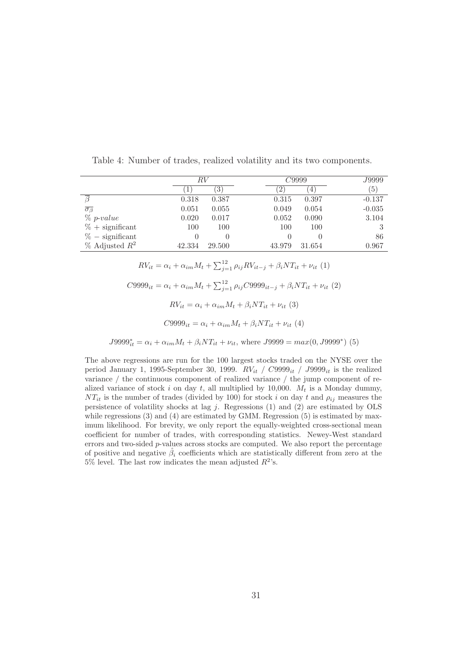|                             | RV               |               |             | C9999            |                  |  |
|-----------------------------|------------------|---------------|-------------|------------------|------------------|--|
|                             |                  | $\mathcal{E}$ | $2^{\circ}$ | 4                | $\left(5\right)$ |  |
|                             | 0.318            | 0.387         | 0.315       | 0.397            | $-0.137$         |  |
| $\overline{\sigma_{\beta}}$ | 0.051            | 0.055         | 0.049       | 0.054            | $-0.035$         |  |
| $\%$ p-value                | 0.020            | 0.017         | 0.052       | 0.090            | 3.104            |  |
| $% +$ significant           | 100              | 100           | 100         | 100              |                  |  |
| $% -$ significant           | $\left( \right)$ |               |             | $\left( \right)$ | 86               |  |
| $%$ Adjusted $R^2$          | 42.334           | 29.500        | 43.979      | 31.654           | 0.967            |  |

Table 4: Number of trades, realized volatility and its two components.

 $RV_{it} = \alpha_i + \alpha_{im} M_t + \sum_{j=1}^{12} \rho_{ij} RV_{it-j} + \beta_i NT_{it} + \nu_{it} (1)$  $C9999_{it} = \alpha_i + \alpha_{im} M_t + \sum_{j=1}^{12} \rho_{ij} C9999_{it-j} + \beta_i N T_{it} + \nu_{it} (2)$  $RV_{it} = \alpha_i + \alpha_{im} M_t + \beta_i NT_{it} + \nu_{it} (3)$  $C9999_{it} = \alpha_i + \alpha_{im} M_t + \beta_i NT_{it} + \nu_{it} (4)$ 

 $J9999_{it}^{*} = \alpha_i + \alpha_{im} M_t + \beta_i NT_{it} + \nu_{it}$ , where  $J9999 = max(0, J9999^*)$  (5)

The above regressions are run for the 100 largest stocks traded on the NYSE over the period January 1, 1995-September 30, 1999.  $RV_{it}$  /  $C9999_{it}$  /  $J9999_{it}$  is the realized variance / the continuous component of realized variance / the jump component of realized variance of stock i on day t, all multiplied by 10,000.  $M_t$  is a Monday dummy,  $NT_{it}$  is the number of trades (divided by 100) for stock i on day t and  $\rho_{ij}$  measures the persistence of volatility shocks at lag  $j$ . Regressions  $(1)$  and  $(2)$  are estimated by OLS while regressions (3) and (4) are estimated by GMM. Regression (5) is estimated by maximum likelihood. For brevity, we only report the equally-weighted cross-sectional mean coefficient for number of trades, with corresponding statistics. Newey-West standard errors and two-sided  $p$ -values across stocks are computed. We also report the percentage of positive and negative  $\hat{\beta}_i$  coefficients which are statistically different from zero at the 5% level. The last row indicates the mean adjusted  $R^2$ 's.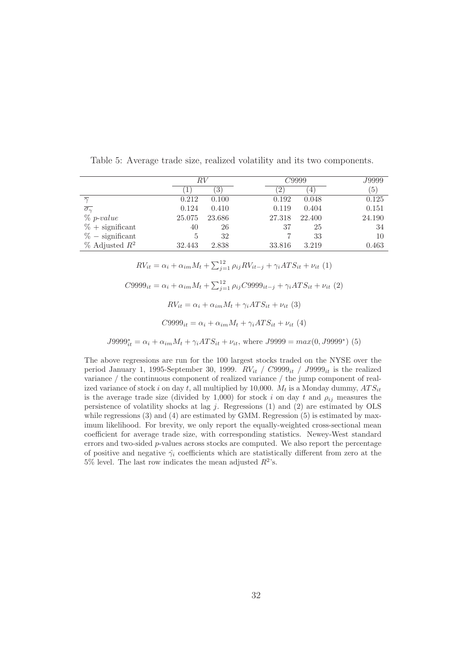|                              | RV     |        | C9999                  |        | J9999            |
|------------------------------|--------|--------|------------------------|--------|------------------|
|                              |        | 3      | $\left 2\right\rangle$ | $\pm$  | $\left(5\right)$ |
| $\overline{\sim}$            | 0.212  | 0.100  | 0.192                  | 0.048  | 0.125            |
| $\overline{\sigma_{\gamma}}$ | 0.124  | 0.410  | 0.119                  | 0.404  | 0.151            |
| $\%$ p-value                 | 25.075 | 23.686 | 27.318                 | 22.400 | 24.190           |
| $% +$ significant            | 40     | 26     | 37                     | 25     | 34               |
| $% -$ significant            | 5      | 32     |                        | 33     | 10               |
| $%$ Adjusted $R^2$           | 32.443 | 2.838  | 33.816                 | 3.219  | 0.463            |

Table 5: Average trade size, realized volatility and its two components.

 $RV_{it} = \alpha_i + \alpha_{im} M_t + \sum_{j=1}^{12} \rho_{ij} RV_{it-j} + \gamma_i A T S_{it} + \nu_{it} (1)$  $C9999_{it} = \alpha_i + \alpha_{im} M_t + \sum_{j=1}^{12} \rho_{ij} C9999_{it-j} + \gamma_i A T S_{it} + \nu_{it} (2)$  $RV_{it} = \alpha_i + \alpha_{im} M_t + \gamma_i ATS_{it} + \nu_{it} (3)$  $C9999_{it} = \alpha_i + \alpha_{im} M_t + \gamma_i AT S_{it} + \nu_{it}$  (4)

 $J9999_{it}^{*} = \alpha_i + \alpha_{im} M_t + \gamma_i ATS_{it} + \nu_{it}$ , where  $J9999 = max(0, J9999^*)$  (5)

The above regressions are run for the 100 largest stocks traded on the NYSE over the period January 1, 1995-September 30, 1999.  $RV_{it}$  /  $C9999_{it}$  /  $J9999_{it}$  is the realized variance / the continuous component of realized variance / the jump component of realized variance of stock i on day t, all multiplied by 10,000.  $M_t$  is a Monday dummy,  $ATS_{it}$ is the average trade size (divided by 1,000) for stock i on day t and  $\rho_{ij}$  measures the persistence of volatility shocks at lag  $j$ . Regressions (1) and (2) are estimated by OLS while regressions (3) and (4) are estimated by GMM. Regression (5) is estimated by maximum likelihood. For brevity, we only report the equally-weighted cross-sectional mean coefficient for average trade size, with corresponding statistics. Newey-West standard errors and two-sided p-values across stocks are computed. We also report the percentage of positive and negative  $\hat{\gamma}_i$  coefficients which are statistically different from zero at the 5% level. The last row indicates the mean adjusted  $R^2$ 's.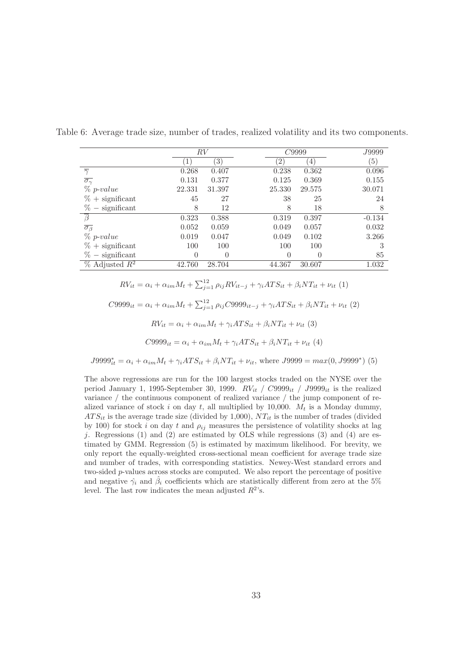|                              | RV     |        |                 | C9999            |                  |  |
|------------------------------|--------|--------|-----------------|------------------|------------------|--|
|                              | 1      | 3)     | $^{\prime}$ 2 , | $\overline{4}$   | $\left(5\right)$ |  |
| $\overline{\gamma}$          | 0.268  | 0.407  | 0.238           | 0.362            | 0.096            |  |
| $\overline{\sigma_{\gamma}}$ | 0.131  | 0.377  | 0.125           | 0.369            | 0.155            |  |
| $\%$ p-value                 | 22.331 | 31.397 | 25.330          | 29.575           | 30.071           |  |
| $% +$ significant            | 45     | 27     | 38              | 25               | 24               |  |
| $% -$ significant            | 8      | 12     | 8               | 18               | 8                |  |
| $\overline{\beta}$           | 0.323  | 0.388  | 0.319           | 0.397            | $-0.134$         |  |
| $\overline{\sigma_{\beta}}$  | 0.052  | 0.059  | 0.049           | 0.057            | 0.032            |  |
| $\%$ p-value                 | 0.019  | 0.047  | 0.049           | 0.102            | 3.266            |  |
| $% +$ significant            | 100    | 100    | 100             | 100              | 3                |  |
| $%$ – significant            | 0      |        | 0               | $\left( \right)$ | 85               |  |
| $%$ Adjusted $R^2$           | 42.760 | 28.704 | 44.367          | 30.607           | 1.032            |  |

Table 6: Average trade size, number of trades, realized volatility and its two components.

 $RV_{it} = \alpha_i + \alpha_{im} M_t + \sum_{j=1}^{12} \rho_{ij} RV_{it-j} + \gamma_i A T S_{it} + \beta_i N T_{it} + \nu_{it} (1)$ 

 $C9999_{it} = \alpha_i + \alpha_{im} M_t + \sum_{j=1}^{12} \rho_{ij} C9999_{it-j} + \gamma_i A T S_{it} + \beta_i N T_{it} + \nu_{it} (2)$ 

$$
RV_{it} = \alpha_i + \alpha_{im} M_t + \gamma_i ATS_{it} + \beta_i NT_{it} + \nu_{it} (3)
$$

$$
C9999_{it} = \alpha_i + \alpha_{im} M_t + \gamma_i ATS_{it} + \beta_i NT_{it} + \nu_{it} (4)
$$

 $J9999_{it}^{*} = \alpha_i + \alpha_{im} M_t + \gamma_i ATS_{it} + \beta_i NT_{it} + \nu_{it}$ , where  $J9999 = max(0, J9999^*)$  (5)

The above regressions are run for the 100 largest stocks traded on the NYSE over the period January 1, 1995-September 30, 1999.  $RV_{it}$  /  $C9999_{it}$  / J9999<sub>it</sub> is the realized variance / the continuous component of realized variance / the jump component of realized variance of stock i on day t, all multiplied by 10,000.  $M_t$  is a Monday dummy,  $ATS_{it}$  is the average trade size (divided by 1,000),  $NT_{it}$  is the number of trades (divided by 100) for stock i on day t and  $\rho_{ij}$  measures the persistence of volatility shocks at lag j. Regressions  $(1)$  and  $(2)$  are estimated by OLS while regressions  $(3)$  and  $(4)$  are estimated by GMM. Regression (5) is estimated by maximum likelihood. For brevity, we only report the equally-weighted cross-sectional mean coefficient for average trade size and number of trades, with corresponding statistics. Newey-West standard errors and two-sided p-values across stocks are computed. We also report the percentage of positive and negative  $\hat{\gamma}_i$  and  $\hat{\beta}_i$  coefficients which are statistically different from zero at the 5% level. The last row indicates the mean adjusted  $R^2$ 's.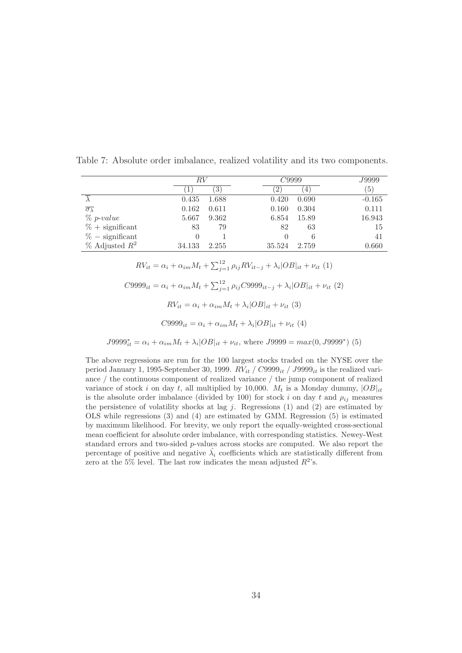|                               |          | RV               |                  | C9999       |          |
|-------------------------------|----------|------------------|------------------|-------------|----------|
|                               |          | $\left(3\right)$ | $2^{\circ}$      | $4^{\circ}$ | (5)      |
|                               | 0.435    | 1.688            | 0.420            | 0.690       | $-0.165$ |
| $\overline{\sigma_{\lambda}}$ | 0.162    | 0.611            | 0.160            | 0.304       | 0.111    |
| $\%$ p-value                  | 5.667    | 9.362            | 6.854            | 15.89       | 16.943   |
| $% +$ significant             | 83       | 79               | 82               | 63          | 15       |
| $% -$ significant             | $\theta$ |                  | $\left( \right)$ | 6           | 41       |
| $%$ Adjusted $R^2$            | 34.133   | 2.255            | 35.524           | 2.759       | 0.660    |

Table 7: Absolute order imbalance, realized volatility and its two components.

 $RV_{it} = \alpha_i + \alpha_{im} M_t + \sum_{j=1}^{12} \rho_{ij} RV_{it-j} + \lambda_i |OB|_{it} + \nu_{it} (1)$  $C9999_{it} = \alpha_i + \alpha_{im} M_t + \sum_{j=1}^{12} \rho_{ij} C9999_{it-j} + \lambda_i |OB|_{it} + \nu_{it} (2)$  $RV_{it} = \alpha_i + \alpha_{im} M_t + \lambda_i |OB|_{it} + \nu_{it}$  (3)  $C9999_{it} = \alpha_i + \alpha_{im} M_t + \lambda_i |OB|_{it} + \nu_{it} (4)$ 

 $J9999_{it}^{*} = \alpha_i + \alpha_{im} M_t + \lambda_i |OB|_{it} + \nu_{it}$ , where  $J9999 = max(0, J9999^*)$  (5)

The above regressions are run for the 100 largest stocks traded on the NYSE over the period January 1, 1995-September 30, 1999.  $RV_{it}$  /  $C9999_{it}$  /  $J9999_{it}$  is the realized variance / the continuous component of realized variance / the jump component of realized variance of stock i on day t, all multiplied by 10,000.  $M_t$  is a Monday dummy,  $|OB|_{it}$ is the absolute order imbalance (divided by 100) for stock i on day t and  $\rho_{ij}$  measures the persistence of volatility shocks at lag  $j$ . Regressions (1) and (2) are estimated by OLS while regressions (3) and (4) are estimated by GMM. Regression (5) is estimated by maximum likelihood. For brevity, we only report the equally-weighted cross-sectional mean coefficient for absolute order imbalance, with corresponding statistics. Newey-West standard errors and two-sided p-values across stocks are computed. We also report the percentage of positive and negative  $\hat{\lambda}_i$  coefficients which are statistically different from zero at the 5% level. The last row indicates the mean adjusted  $R^2$ 's.